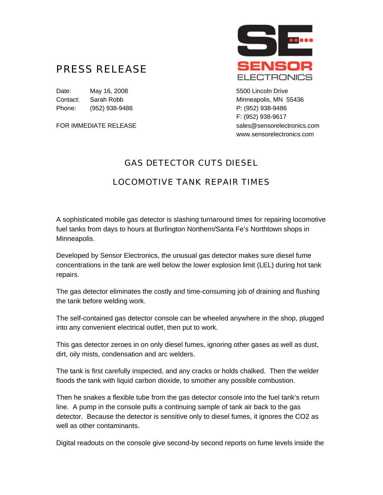## PRESS RELEASE

Date: May 16, 2008 **19. In the U.S. 2008 5500 Lincoln Drive** Contact: Sarah Robb Minneapolis, MN 55436 Phone: (952) 938-9486 P: (952) 938-9486



F: (952) 938-9617 FOR IMMEDIATE RELEASE sales@sensorelectronics.com www.sensorelectronics.com

## GAS DETECTOR CUTS DIESEL

## LOCOMOTIVE TANK REPAIR TIMES

A sophisticated mobile gas detector is slashing turnaround times for repairing locomotive fuel tanks from days to hours at Burlington Northern/Santa Fe's Northtown shops in Minneapolis.

Developed by Sensor Electronics, the unusual gas detector makes sure diesel fume concentrations in the tank are well below the lower explosion limit (LEL) during hot tank repairs.

The gas detector eliminates the costly and time-consuming job of draining and flushing the tank before welding work.

The self-contained gas detector console can be wheeled anywhere in the shop, plugged into any convenient electrical outlet, then put to work.

This gas detector zeroes in on only diesel fumes, ignoring other gases as well as dust, dirt, oily mists, condensation and arc welders.

The tank is first carefully inspected, and any cracks or holds chalked. Then the welder floods the tank with liquid carbon dioxide, to smother any possible combustion.

Then he snakes a flexible tube from the gas detector console into the fuel tank's return line. A pump in the console pulls a continuing sample of tank air back to the gas detector. Because the detector is sensitive only to diesel fumes, it ignores the CO2 as well as other contaminants.

Digital readouts on the console give second-by second reports on fume levels inside the